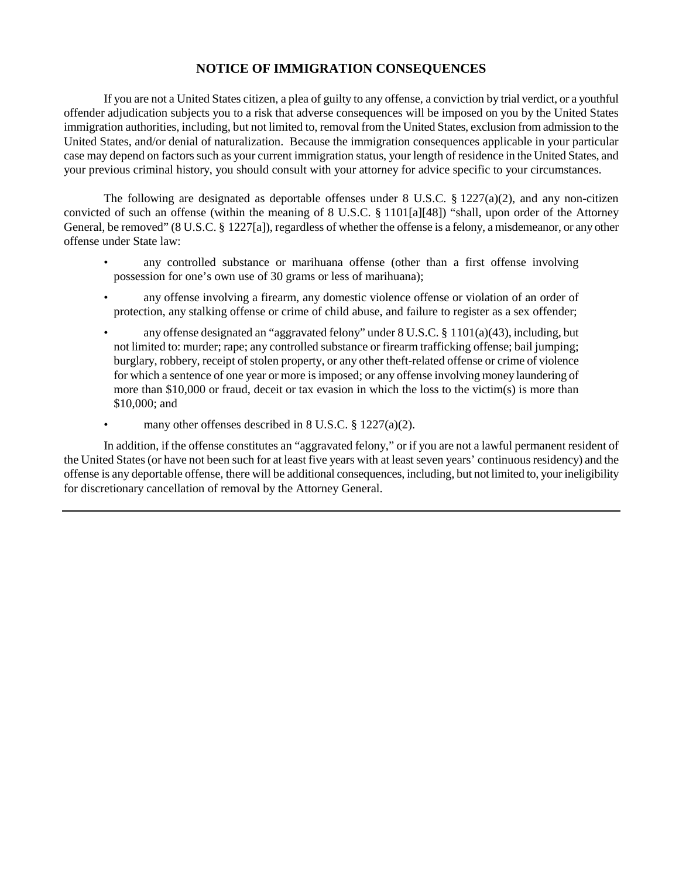## **NOTICE OF IMMIGRATION CONSEQUENCES**

If you are not a United States citizen, a plea of guilty to any offense, a conviction by trial verdict, or a youthful offender adjudication subjects you to a risk that adverse consequences will be imposed on you by the United States immigration authorities, including, but not limited to, removal from the United States, exclusion from admission to the United States, and/or denial of naturalization. Because the immigration consequences applicable in your particular case may depend on factors such as your current immigration status, your length of residence in the United States, and your previous criminal history, you should consult with your attorney for advice specific to your circumstances.

The following are designated as deportable offenses under 8 U.S.C.  $\S$  1227(a)(2), and any non-citizen convicted of such an offense (within the meaning of 8 U.S.C. § 1101[a][48]) "shall, upon order of the Attorney General, be removed" (8 U.S.C. § 1227[a]), regardless of whether the offense is a felony, a misdemeanor, or any other offense under State law:

- any controlled substance or marihuana offense (other than a first offense involving possession for one's own use of 30 grams or less of marihuana);
- any offense involving a firearm, any domestic violence offense or violation of an order of protection, any stalking offense or crime of child abuse, and failure to register as a sex offender;
- any offense designated an "aggravated felony" under 8 U.S.C. § 1101(a)(43), including, but not limited to: murder; rape; any controlled substance or firearm trafficking offense; bail jumping; burglary, robbery, receipt of stolen property, or any other theft-related offense or crime of violence for which a sentence of one year or more is imposed; or any offense involving money laundering of more than  $$10,000$  or fraud, deceit or tax evasion in which the loss to the victim(s) is more than \$10,000; and
- many other offenses described in 8 U.S.C. § 1227(a)(2).

In addition, if the offense constitutes an "aggravated felony," or if you are not a lawful permanent resident of the United States (or have not been such for at least five years with at least seven years' continuous residency) and the offense is any deportable offense, there will be additional consequences, including, but not limited to, your ineligibility for discretionary cancellation of removal by the Attorney General.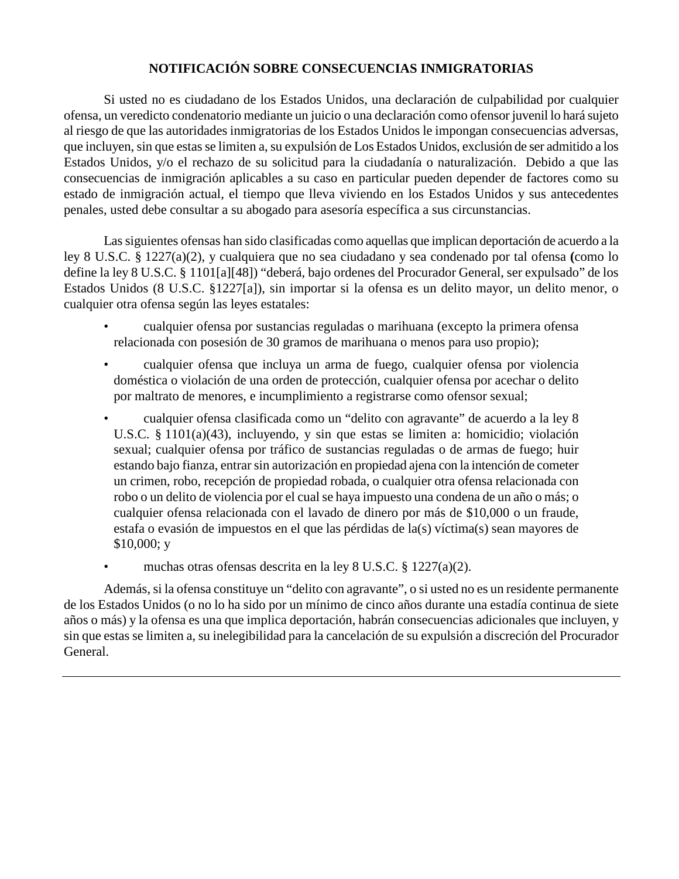## **NOTIFICACIÓN SOBRE CONSECUENCIAS INMIGRATORIAS**

Si usted no es ciudadano de los Estados Unidos, una declaración de culpabilidad por cualquier ofensa, un veredicto condenatorio mediante un juicio o una declaración como ofensor juvenil lo hará sujeto al riesgo de que las autoridades inmigratorias de los Estados Unidos le impongan consecuencias adversas, que incluyen, sin que estas se limiten a, su expulsión de Los Estados Unidos, exclusión de ser admitido a los Estados Unidos, y/o el rechazo de su solicitud para la ciudadanía o naturalización. Debido a que las consecuencias de inmigración aplicables a su caso en particular pueden depender de factores como su estado de inmigración actual, el tiempo que lleva viviendo en los Estados Unidos y sus antecedentes penales, usted debe consultar a su abogado para asesoría específica a sus circunstancias.

Las siguientes ofensas han sido clasificadas como aquellas que implican deportación de acuerdo a la ley 8 U.S.C. § 1227(a)(2), y cualquiera que no sea ciudadano y sea condenado por tal ofensa **(**como lo define la ley 8 U.S.C. § 1101[a][48]) "deberá, bajo ordenes del Procurador General, ser expulsado" de los Estados Unidos (8 U.S.C. §1227[a]), sin importar si la ofensa es un delito mayor, un delito menor, o cualquier otra ofensa según las leyes estatales:

- cualquier ofensa por sustancias reguladas o marihuana (excepto la primera ofensa relacionada con posesión de 30 gramos de marihuana o menos para uso propio);
- cualquier ofensa que incluya un arma de fuego, cualquier ofensa por violencia doméstica o violación de una orden de protección, cualquier ofensa por acechar o delito por maltrato de menores, e incumplimiento a registrarse como ofensor sexual;
- cualquier ofensa clasificada como un "delito con agravante" de acuerdo a la ley 8 U.S.C. § 1101(a)(43), incluyendo, y sin que estas se limiten a: homicidio; violación sexual; cualquier ofensa por tráfico de sustancias reguladas o de armas de fuego; huir estando bajo fianza, entrar sin autorización en propiedad ajena con la intención de cometer un crimen, robo, recepción de propiedad robada, o cualquier otra ofensa relacionada con robo o un delito de violencia por el cual se haya impuesto una condena de un año o más; o cualquier ofensa relacionada con el lavado de dinero por más de \$10,000 o un fraude, estafa o evasión de impuestos en el que las pérdidas de la(s) víctima(s) sean mayores de \$10,000; y
- muchas otras ofensas descrita en la ley 8 U.S.C. § 1227(a)(2).

Además, si la ofensa constituye un "delito con agravante", o si usted no es un residente permanente de los Estados Unidos (o no lo ha sido por un mínimo de cinco años durante una estadía continua de siete años o más) y la ofensa es una que implica deportación, habrán consecuencias adicionales que incluyen, y sin que estas se limiten a, su inelegibilidad para la cancelación de su expulsión a discreción del Procurador General.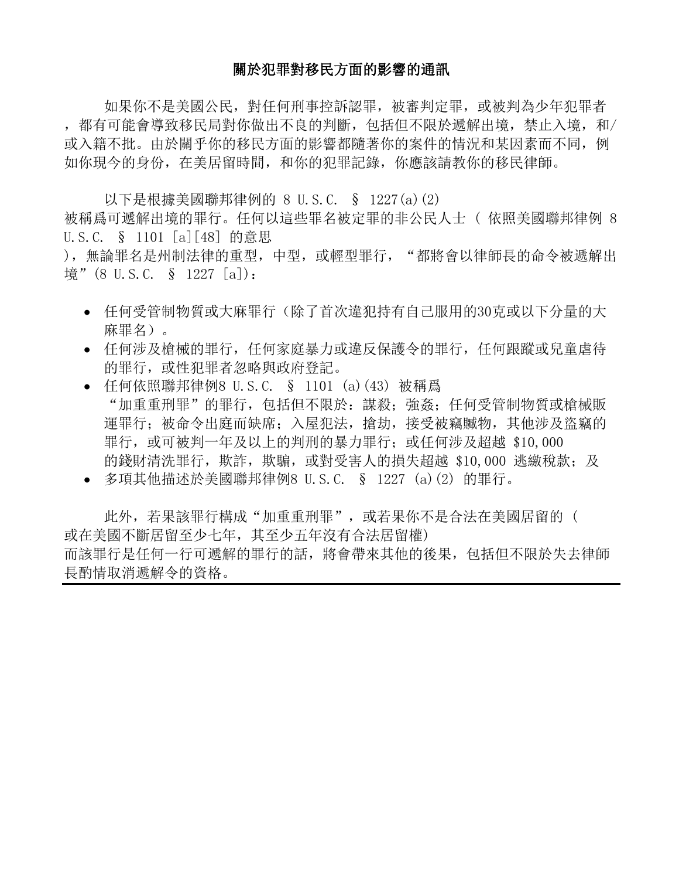## 關於犯罪對移民方面的影響的通訊

如果你不是美國公民,對任何刑事控訴認罪,被審判定罪,或被判為少年犯罪者 ,都有可能會導致移民局對你做出不良的判斷,包括但不限於遞解出境,禁止入境,和/ 或入籍不批。由於關乎你的移民方面的影響都隨著你的案件的情況和某因素而不同, 例 如你現今的身份,在美居留時間,和你的犯罪記錄,你應該請教你的移民律師。

以下是根據美國聯邦律例的 8 U.S.C. § 1227(a)(2) 被稱爲可遞解出境的罪行。任何以這些罪名被定罪的非公民人士 ( 依照美國聯邦律例 8 U.S.C. § 1101 [a][48] 的意思

),無論罪名是州制法律的重型,中型,或輕型罪行,"都將會以律師長的命令被遞解出 境" (8 U.S.C. § 1227 [a]):

- 任何受管制物質或大麻罪行(除了首次違犯持有自己服用的30克或以下分量的大 麻罪名)。
- 任何涉及槍械的罪行,任何家庭暴力或違反保護令的罪行,任何跟蹤或兒童虐待 的罪行,或性犯罪者忽略與政府登記。
- 任何依照聯邦律例8 U.S.C. § 1101 (a)(43) 被稱爲 "加重重刑罪"的罪行,包括但不限於:謀殺;強姦;任何受管制物質或槍械販 運罪行;被命令出庭而缺席;入屋犯法,搶劫,接受被竊贓物,其他涉及盜竊的 罪行, 或可被判一年及以上的判刑的暴力罪行; 或任何涉及超越 \$10,000 的錢財清洗罪行,欺詐,欺騙,或對受害人的損失超越 \$10,000 逃繳稅款; 及
- 多項其他描述於美國聯邦律例8 U.S.C. § 1227 (a)(2) 的罪行。

此外,若果該罪行構成"加重重刑罪",或若果你不是合法在美國居留的( 或在美國不斷居留至少七年,其至少五年沒有合法居留權) 而該罪行是任何一行可遞解的罪行的話,將會帶來其他的後果,包括但不限於失去律師 長酌情取消遞解令的資格。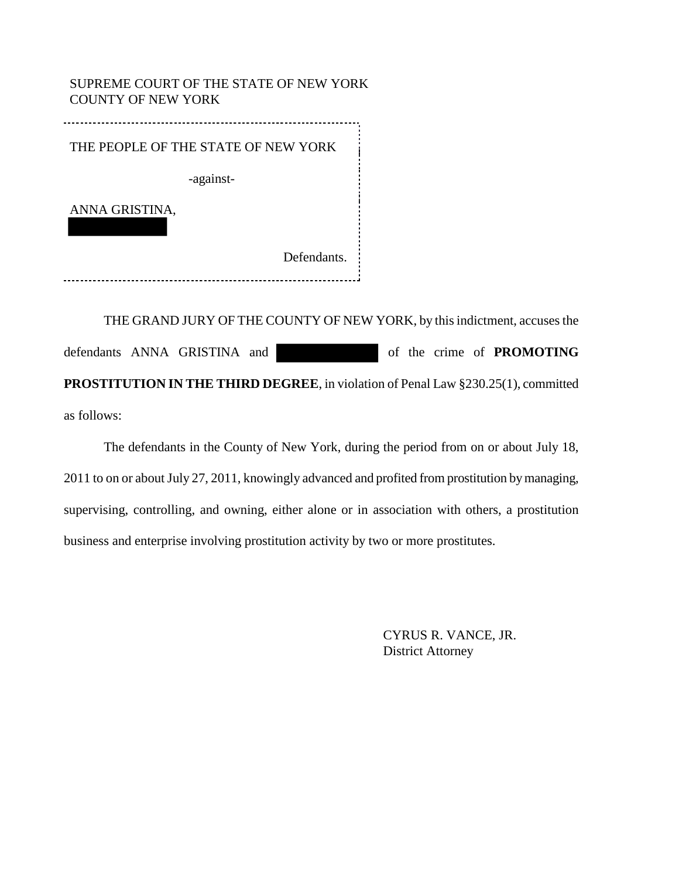SUPREME COURT OF THE STATE OF NEW YORK COUNTY OF NEW YORK

THE PEOPLE OF THE STATE OF NEW YORK -against-ANNA GRISTINA, Defendants. 

THE GRAND JURY OF THE COUNTY OF NEW YORK, by this indictment, accuses the defendants ANNA GRISTINA and of the crime of **PROMOTING PROSTITUTION IN THE THIRD DEGREE**, in violation of Penal Law §230.25(1), committed as follows:

The defendants in the County of New York, during the period from on or about July 18, 2011 to on or about July 27, 2011, knowingly advanced and profited from prostitution by managing, supervising, controlling, and owning, either alone or in association with others, a prostitution business and enterprise involving prostitution activity by two or more prostitutes.

> CYRUS R. VANCE, JR. District Attorney